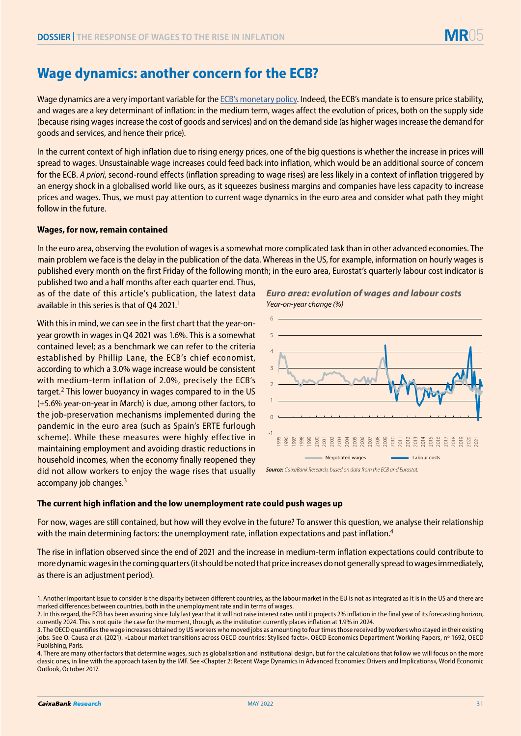# 05

## **Wage dynamics: another concern for the ECB?**

Wage dynamics are a very important variable for the [ECB's monetary policy](https://www.caixabankresearch.com/en/economics-markets/financial-markets/ecb-and-fed-two-mandates-one-target). Indeed, the ECB's mandate is to ensure price stability, and wages are a key determinant of inflation: in the medium term, wages affect the evolution of prices, both on the supply side (because rising wages increase the cost of goods and services) and on the demand side (as higher wages increase the demand for goods and services, and hence their price).

In the current context of high inflation due to rising energy prices, one of the big questions is whether the increase in prices will spread to wages. Unsustainable wage increases could feed back into inflation, which would be an additional source of concern for the ECB. *A priori*, second-round effects (inflation spreading to wage rises) are less likely in a context of inflation triggered by an energy shock in a globalised world like ours, as it squeezes business margins and companies have less capacity to increase prices and wages. Thus, we must pay attention to current wage dynamics in the euro area and consider what path they might follow in the future.

## **Wages, for now, remain contained**

In the euro area, observing the evolution of wages is a somewhat more complicated task than in other advanced economies. The main problem we face is the delay in the publication of the data. Whereas in the US, for example, information on hourly wages is published every month on the first Friday of the following month; in the euro area, Eurostat's quarterly labour cost indicator is

published two and a half months after each quarter end. Thus, as of the date of this article's publication, the latest data available in this series is that of O4 2021.<sup>1</sup>

With this in mind, we can see in the first chart that the year-onyear growth in wages in Q4 2021 was 1.6%. This is a somewhat contained level; as a benchmark we can refer to the criteria established by Phillip Lane, the ECB's chief economist, according to which a 3.0% wage increase would be consistent with medium-term inflation of 2.0%, precisely the ECB's target.2 This lower buoyancy in wages compared to in the US (+5.6% year-on-year in March) is due, among other factors, to the job-preservation mechanisms implemented during the pandemic in the euro area (such as Spain's ERTE furlough scheme). While these measures were highly effective in maintaining employment and avoiding drastic reductions in household incomes, when the economy finally reopened they did not allow workers to enjoy the wage rises that usually accompany job changes.<sup>3</sup>





*Source: CaixaBank Research, based on data from the ECB and Eurostat.*

### **The current high inflation and the low unemployment rate could push wages up**

For now, wages are still contained, but how will they evolve in the future? To answer this question, we analyse their relationship with the main determining factors: the unemployment rate, inflation expectations and past inflation.<sup>4</sup>

The rise in inflation observed since the end of 2021 and the increase in medium-term inflation expectations could contribute to more dynamic wages in the coming quarters (it should be noted that price increases do not generally spread to wages immediately, as there is an adjustment period).

<sup>1.</sup> Another important issue to consider is the disparity between different countries, as the labour market in the EU is not as integrated as it is in the US and there are marked differences between countries, both in the unemployment rate and in terms of wages.

<sup>2.</sup> In this regard, the ECB has been assuring since July last year that it will not raise interest rates until it projects 2% inflation in the final year of its forecasting horizon, currently 2024. This is not quite the case for the moment, though, as the institution currently places inflation at 1.9% in 2024.

<sup>3.</sup> The OECD quantifies the wage increases obtained by US workers who moved jobs as amounting to four times those received by workers who stayed in their existing jobs. See O. Causa et al. (2021). «Labour market transitions across OECD countries: Stylised facts». OECD Economics Department Working Papers, nº 1692, OECD Publishing, Paris.

<sup>4.</sup> There are many other factors that determine wages, such as globalisation and institutional design, but for the calculations that follow we will focus on the more classic ones, in line with the approach taken by the IMF. See «Chapter 2: Recent Wage Dynamics in Advanced Economies: Drivers and Implications», World Economic Outlook, October 2017.